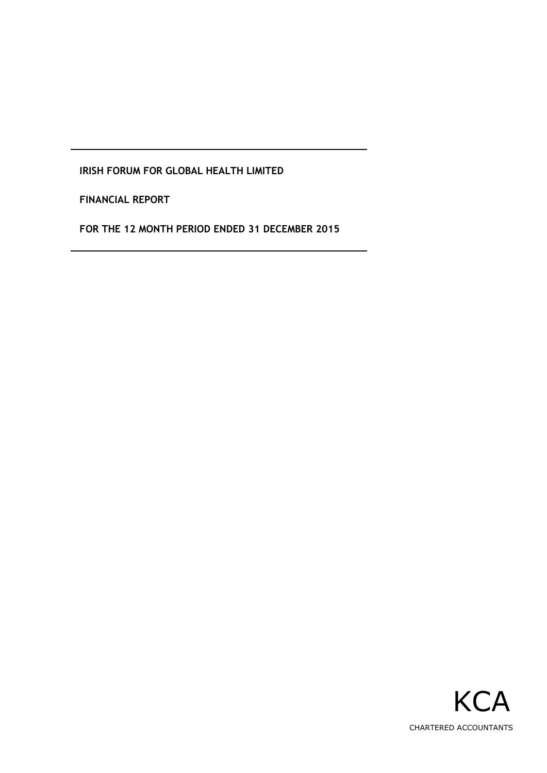**FINANCIAL REPORT**

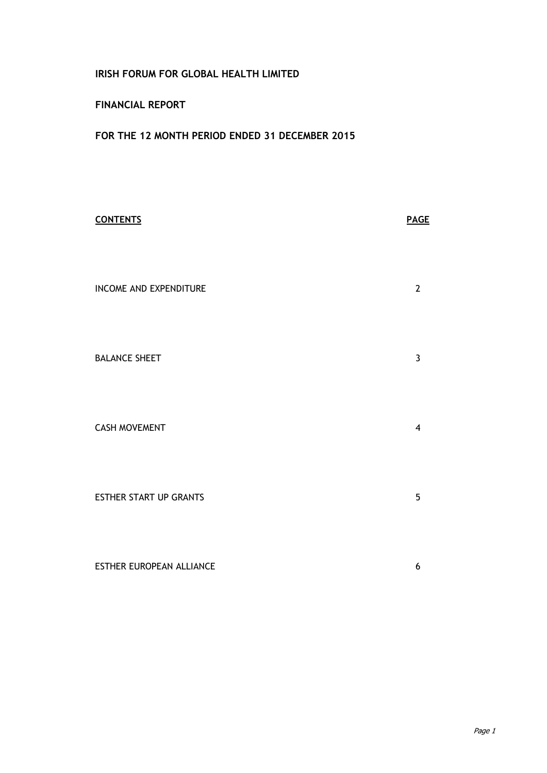## **FINANCIAL REPORT**

| <b>CONTENTS</b>                 | <b>PAGE</b>    |
|---------------------------------|----------------|
| <b>INCOME AND EXPENDITURE</b>   | $\mathbf{2}$   |
| <b>BALANCE SHEET</b>            | 3              |
| <b>CASH MOVEMENT</b>            | $\overline{4}$ |
| <b>ESTHER START UP GRANTS</b>   | 5              |
| <b>ESTHER EUROPEAN ALLIANCE</b> | 6              |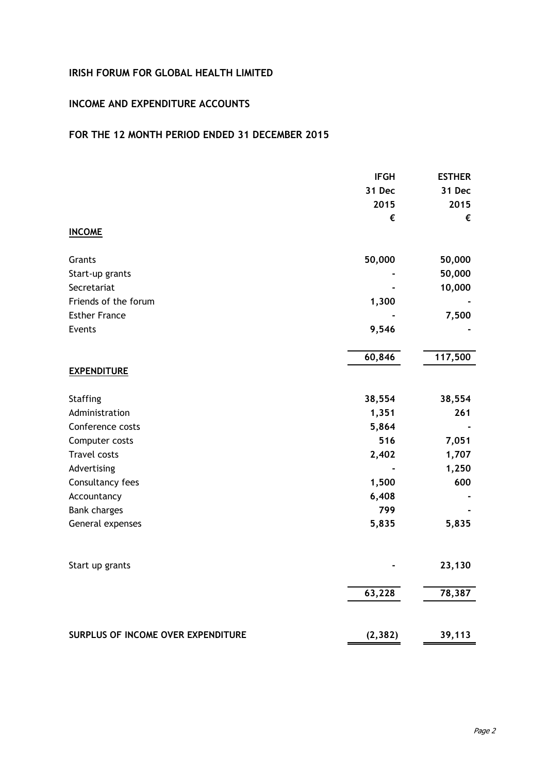## **INCOME AND EXPENDITURE ACCOUNTS**

|                                    | <b>IFGH</b> | <b>ESTHER</b> |
|------------------------------------|-------------|---------------|
|                                    | 31 Dec      | 31 Dec        |
|                                    | 2015        | 2015          |
|                                    | €           | €             |
| <b>INCOME</b>                      |             |               |
| Grants                             | 50,000      | 50,000        |
| Start-up grants                    |             | 50,000        |
| Secretariat                        |             | 10,000        |
| Friends of the forum               | 1,300       |               |
| <b>Esther France</b>               |             | 7,500         |
| Events                             | 9,546       |               |
|                                    | 60,846      | 117,500       |
| <b>EXPENDITURE</b>                 |             |               |
| <b>Staffing</b>                    | 38,554      | 38,554        |
| Administration                     | 1,351       | 261           |
| Conference costs                   | 5,864       |               |
| Computer costs                     | 516         | 7,051         |
| <b>Travel costs</b>                | 2,402       | 1,707         |
| Advertising                        |             | 1,250         |
| Consultancy fees                   | 1,500       | 600           |
| Accountancy                        | 6,408       |               |
| <b>Bank charges</b>                | 799         |               |
| General expenses                   | 5,835       | 5,835         |
| Start up grants                    |             | 23,130        |
|                                    |             |               |
|                                    | 63,228      | 78,387        |
| SURPLUS OF INCOME OVER EXPENDITURE | (2, 382)    | 39,113        |
|                                    |             |               |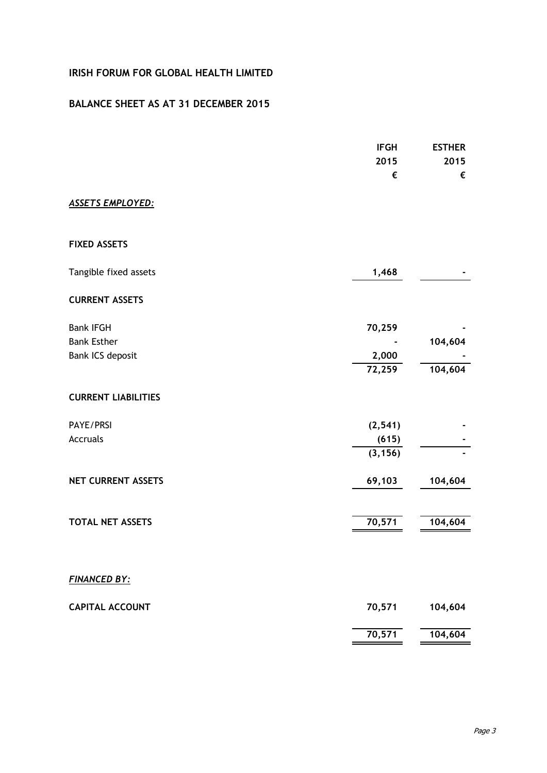## **BALANCE SHEET AS AT 31 DECEMBER 2015**

|                                                            | <b>IFGH</b><br>2015<br>€      | <b>ESTHER</b><br>2015<br>€ |
|------------------------------------------------------------|-------------------------------|----------------------------|
| <b>ASSETS EMPLOYED:</b>                                    |                               |                            |
| <b>FIXED ASSETS</b>                                        |                               |                            |
| Tangible fixed assets                                      | 1,468                         |                            |
| <b>CURRENT ASSETS</b>                                      |                               |                            |
| <b>Bank IFGH</b><br><b>Bank Esther</b><br>Bank ICS deposit | 70,259<br>2,000               | 104,604                    |
|                                                            | 72,259                        | 104,604                    |
| <b>CURRENT LIABILITIES</b>                                 |                               |                            |
| PAYE/PRSI<br><b>Accruals</b>                               | (2, 541)<br>(615)<br>(3, 156) |                            |
| <b>NET CURRENT ASSETS</b>                                  | 69,103                        | 104,604                    |
| <b>TOTAL NET ASSETS</b>                                    | 70,571                        | 104,604                    |
| <b>FINANCED BY:</b>                                        |                               |                            |
| <b>CAPITAL ACCOUNT</b>                                     | 70,571                        | 104,604                    |
|                                                            | 70,571                        | 104,604                    |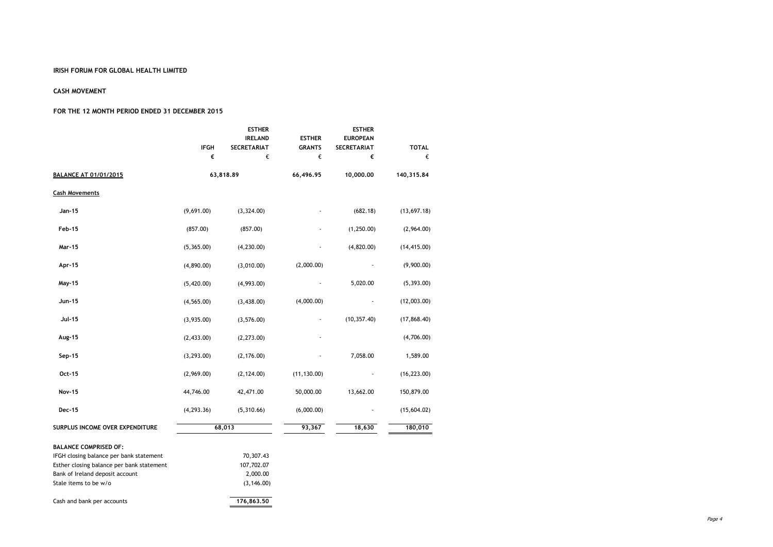#### **CASH MOVEMENT**

|                                           | <b>ESTHER</b> |                    |               | <b>ESTHER</b>      |              |  |
|-------------------------------------------|---------------|--------------------|---------------|--------------------|--------------|--|
|                                           |               | <b>IRELAND</b>     | <b>ESTHER</b> | <b>EUROPEAN</b>    |              |  |
|                                           | <b>IFGH</b>   | <b>SECRETARIAT</b> | <b>GRANTS</b> | <b>SECRETARIAT</b> | <b>TOTAL</b> |  |
|                                           | €             | €                  | €             | €                  | €            |  |
| <b>BALANCE AT 01/01/2015</b>              |               | 63,818.89          | 66,496.95     | 10,000.00          | 140,315.84   |  |
| <b>Cash Movements</b>                     |               |                    |               |                    |              |  |
| Jan-15                                    | (9,691.00)    | (3, 324.00)        |               | (682.18)           | (13,697.18)  |  |
| Feb-15                                    | (857.00)      | (857.00)           |               | (1, 250.00)        | (2,964.00)   |  |
| Mar-15                                    | (5,365.00)    | (4, 230.00)        |               | (4,820.00)         | (14, 415.00) |  |
| Apr-15                                    | (4,890.00)    | (3,010.00)         | (2,000.00)    |                    | (9,900.00)   |  |
| May-15                                    | (5,420.00)    | (4,993.00)         |               | 5,020.00           | (5, 393.00)  |  |
| Jun-15                                    | (4, 565.00)   | (3,438.00)         | (4,000.00)    |                    | (12,003.00)  |  |
| Jul-15                                    | (3,935.00)    | (3, 576.00)        |               | (10, 357.40)       | (17, 868.40) |  |
| Aug-15                                    | (2,433.00)    | (2, 273.00)        |               |                    | (4,706.00)   |  |
| Sep-15                                    | (3, 293.00)   | (2, 176.00)        |               | 7,058.00           | 1,589.00     |  |
| Oct-15                                    | (2,969.00)    | (2, 124.00)        | (11, 130.00)  |                    | (16, 223.00) |  |
| <b>Nov-15</b>                             | 44,746.00     | 42,471.00          | 50,000.00     | 13,662.00          | 150,879.00   |  |
| Dec-15                                    | (4, 293.36)   | (5,310.66)         | (6,000.00)    |                    | (15,604.02)  |  |
| SURPLUS INCOME OVER EXPENDITURE           |               | 68,013             | 93,367        | 18,630             | 180,010      |  |
| <b>BALANCE COMPRISED OF:</b>              |               |                    |               |                    |              |  |
| IFGH closing balance per bank statement   |               | 70,307.43          |               |                    |              |  |
| Esther closing balance per bank statement |               | 107,702.07         |               |                    |              |  |
| Bank of Ireland deposit account           |               | 2,000.00           |               |                    |              |  |
| Stale items to be w/o                     |               | (3, 146.00)        |               |                    |              |  |
| Cash and bank per accounts                |               | 176,863.50         |               |                    |              |  |